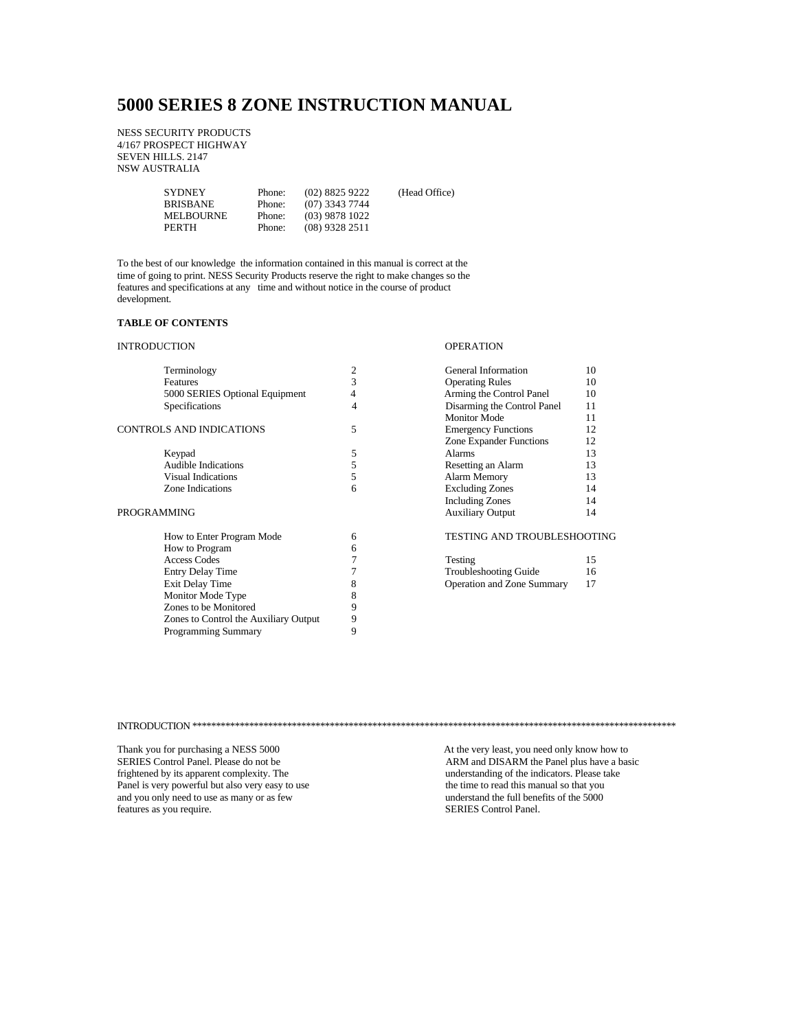# **5000 SERIES 8 ZONE INSTRUCTION MANUAL**

NESS SECURITY PRODUCTS 4/167 PROSPECT HIGHWAY SEVEN HILLS. 2147 NSW AUSTRALIA

| <b>SYDNEY</b>   | Phone: | $(02)$ 8825 9222 | (Head Office) |
|-----------------|--------|------------------|---------------|
| <b>BRISBANE</b> | Phone: | $(07)$ 3343 7744 |               |
| MELBOURNE       | Phone: | $(03)$ 9878 1022 |               |
| PERTH           | Phone: | $(08)$ 9328 2511 |               |
|                 |        |                  |               |

To the best of our knowledge the information contained in this manual is correct at the time of going to print. NESS Security Products reserve the right to make changes so the features and specifications at any time and without notice in the course of product development.

## **TABLE OF CONTENTS**

## INTRODUCTION OPERATION

| <b>Terminology</b>                    |   | General Information          | 10 |
|---------------------------------------|---|------------------------------|----|
| Features                              | 3 | <b>Operating Rules</b>       | 10 |
| 5000 SERIES Optional Equipment        | 4 | Arming the Control Panel     | 10 |
| Specifications                        | 4 | Disarming the Control Panel  | 11 |
|                                       |   | Monitor Mode                 | 11 |
| CONTROLS AND INDICATIONS              | 5 | <b>Emergency Functions</b>   | 12 |
|                                       |   | Zone Expander Functions      | 12 |
| Keypad                                | 5 | Alarms                       | 13 |
| <b>Audible Indications</b>            | 5 | Resetting an Alarm           | 13 |
| <b>Visual Indications</b>             | 5 | Alarm Memory                 | 13 |
| Zone Indications                      | 6 | <b>Excluding Zones</b>       | 14 |
|                                       |   | <b>Including Zones</b>       | 14 |
| PROGRAMMING                           |   | <b>Auxiliary Output</b>      | 14 |
| How to Enter Program Mode             | 6 | TESTING AND TROUBLESHOOTING  |    |
| How to Program                        | 6 |                              |    |
| <b>Access Codes</b>                   |   | Testing                      | 15 |
| <b>Entry Delay Time</b>               |   | <b>Troubleshooting Guide</b> | 16 |
| Exit Delay Time                       | 8 | Operation and Zone Summary   | 17 |
| Monitor Mode Type                     | 8 |                              |    |
| Zones to be Monitored                 | 9 |                              |    |
| Zones to Control the Auxiliary Output | 9 |                              |    |
| <b>Programming Summary</b>            | 9 |                              |    |

| Terminology                    | $\overline{c}$ | General Information          | 10 |
|--------------------------------|----------------|------------------------------|----|
| Features                       | 3              | <b>Operating Rules</b>       | 10 |
| 5000 SERIES Optional Equipment | 4              | Arming the Control Panel     | 10 |
| Specifications                 | 4              | Disarming the Control Panel  | 11 |
|                                |                | <b>Monitor Mode</b>          | 11 |
| S AND INDICATIONS              | 5              | <b>Emergency Functions</b>   | 12 |
|                                |                | Zone Expander Functions      | 12 |
| Keypad                         | 5              | Alarms                       | 13 |
| <b>Audible Indications</b>     | 5              | Resetting an Alarm           | 13 |
| Visual Indications             | 5              | Alarm Memory                 | 13 |
| Zone Indications               | 6              | <b>Excluding Zones</b>       | 14 |
|                                |                | <b>Including Zones</b>       | 14 |
| 1MING                          |                | <b>Auxiliary Output</b>      | 14 |
| How to Enter Program Mode      | 6              | TESTING AND TROUBLESHOOTING  |    |
| How to Program                 | 6              |                              |    |
| <b>Access Codes</b>            |                | Testing                      | 15 |
| Entry Delay Time               |                | <b>Troubleshooting Guide</b> | 16 |
| Exit Delay Time                | 8              | Operation and Zone Summary   | 17 |
| <b>Monitor Mode Type</b>       | 8              |                              |    |
|                                |                |                              |    |

## INTRODUCTION \*\*\*\*\*\*\*\*\*\*\*\*\*\*\*\*\*\*\*\*\*\*\*\*\*\*\*\*\*\*\*\*\*\*\*\*\*\*\*\*\*\*\*\*\*\*\*\*\*\*\*\*\*\*\*\*\*\*\*\*\*\*\*\*\*\*\*\*\*\*\*\*\*\*\*\*\*\*\*\*\*\*\*\*\*\*\*\*\*\*\*\*\*\*\*\*\*\*\*\*\*\*

Panel is very powerful but also very easy to use the time to read this manual so that you and you only need to use as many or as few understand the full benefits of the 5000 and you only need to use as many or as few understand the full benefits of the 5000 features as you require.

Thank you for purchasing a NESS 5000  $\qquad$  At the very least, you need only know how to SERIES Control Panel. Please do not be ARM and DISARM the Panel plus have a basic frightened by its apparent complexity. The and a series of the indicators. Please take understanding of the indicators. Please take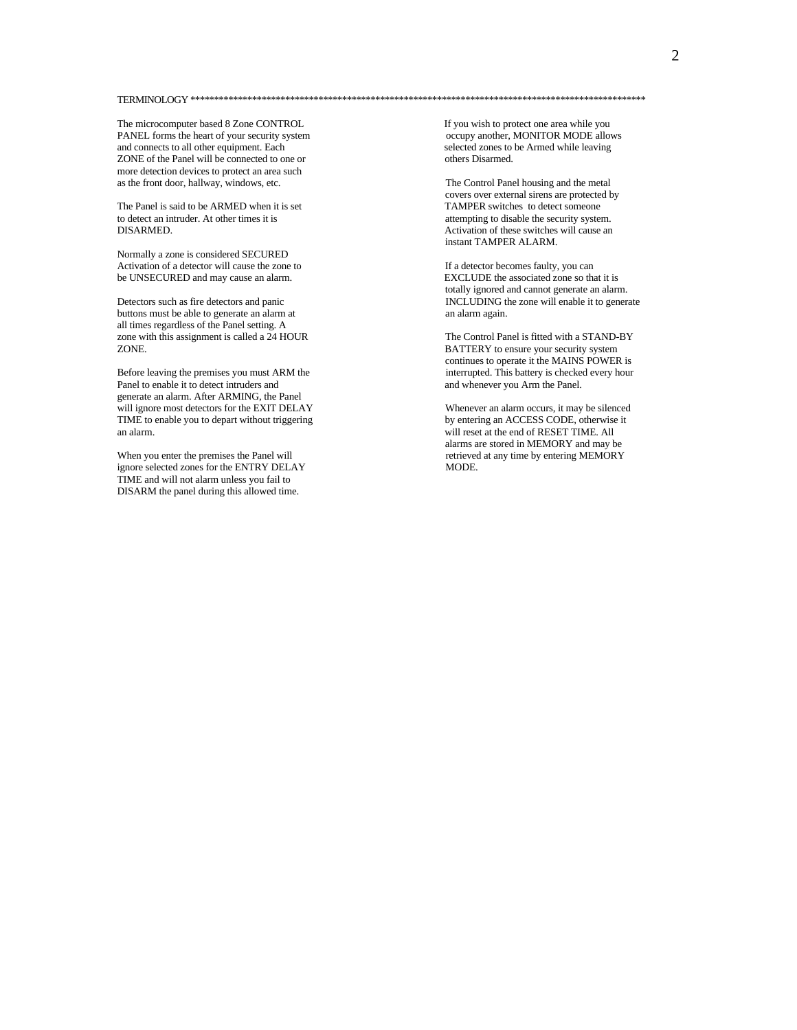## TERMINOLOGY \*\*\*\*\*\*\*\*\*\*\*\*\*\*\*\*\*\*\*\*\*\*\*\*\*\*\*\*\*\*\*\*\*\*\*\*\*\*\*\*\*\*\*\*\*\*\*\*\*\*\*\*\*\*\*\*\*\*\*\*\*\*\*\*\*\*\*\*\*\*\*\*\*\*\*\*\*\*\*\*\*\*\*\*\*\*\*\*\*\*\*\*\*\*\*\*

The microcomputer based 8 Zone CONTROL If you wish to protect one area while you<br>
PANEL forms the heart of your security system
<br>
PANEL forms the heart of your security system

PANEL PANEL forms the heart of your security system and connects to all other equipment. Each selected zones to be Armed while leaving ZONE of the Panel will be connected to one or others Disarmed. more detection devices to protect an area such<br>as the front door, hallway, windows, etc.

The Panel is said to be ARMED when it is set to detect an intruder. At other times it is attempting to disable the security system.<br>DISARMED. Activation of these switches will cause an

Normally a zone is considered SECURED Activation of a detector will cause the zone to If a detector becomes faulty, you can<br>be UNSECURED and may cause an alarm.<br>EXCLUDE the associated zone so that it is be UNSECURED and may cause an alarm.

buttons must be able to generate an alarm at an announce an alarm again. all times regardless of the Panel setting. A zone with this assignment is called a 24 HOUR<br>
The Control Panel is fitted with a STAND-BY<br>
RATTERY to ensure your security system

Panel to enable it to detect intruders and and whenever you Arm the Panel. generate an alarm. After ARMING, the Panel will ignore most detectors for the EXIT DELAY Whenever an alarm occurs, it may be silenced<br>TIME to enable you to depart without triggering by entering an ACCESS CODE, otherwise it TIME to enable you to depart without triggering an alarm. will reset at the end of RESET TIME. All

ignore selected zones for the ENTRY DELAY TIME and will not alarm unless you fail to DISARM the panel during this allowed time.

The Control Panel housing and the metal covers over external sirens are protected by<br>TAMPER switches to detect someone Activation of these switches will cause an instant TAMPER ALARM.

totally ignored and cannot generate an alarm. Detectors such as fire detectors and panic INCLUDING the zone will enable it to generate

BATTERY to ensure your security system continues to operate it the MAINS POWER is Before leaving the premises you must ARM the interrupted. This battery is checked every hour

alarms are stored in MEMORY and may be When you enter the premises the Panel will retrieved at any time by entering MEMORY ignore selected zones for the ENTRY DELAY MODE.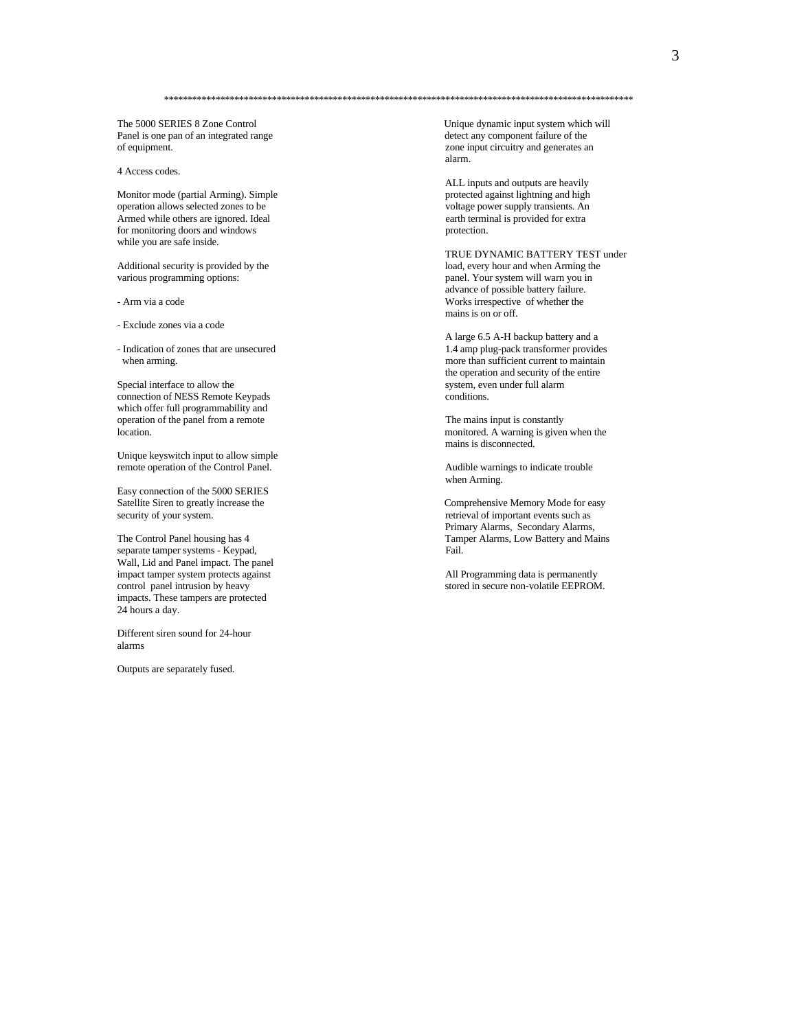Panel is one pan of an integrated range of equipment. zone input circuitry and generates an

4 Access codes.

Monitor mode (partial Arming). Simple operation allows selected zones to be Armed while others are ignored. Ideal earth terminal is provided for extra for monitoring doors and windows protection. while you are safe inside.

Additional security is provided by the various programming options:

- Exclude zones via a code

Special interface to allow the system, even under full alarm<br>
connection of NESS Remote Keypads<br>
conditions connection of NESS Remote Keypads which offer full programmability and operation of the panel from a remote The mains input is constantly

Unique keyswitch input to allow simple remote operation of the Control Panel. Audible warnings to indicate trouble

Easy connection of the 5000 SERIES<br>Satellite Siren to greatly increase the

separate tamper systems - Keypad, Wall, Lid and Panel impact. The panel impact tamper system protects against <br>
intrusion by heavy and the system of the system of the system of the system of the system of the system of the system of the system of the system of the system of the system of the s impacts. These tampers are protected 24 hours a day.

Different siren sound for 24-hour alarms

Outputs are separately fused.

The 5000 SERIES 8 Zone Control Unique dynamic input system which will<br>
Panel is one pan of an integrated range and the state of the detect any component failure of the alarm.

> ALL inputs and outputs are heavily<br>protected against lightning and high voltage power supply transients. An

TRUE DYNAMIC BATTERY TEST under<br>load, every hour and when Arming the panel. Your system will warn you in advance of possible battery failure. - Arm via a code Works irrespective of whether the mains is on or off.

A large 6.5 A-H backup battery and a - Indication of zones that are unsecured 1.4 amp plug-pack transformer provides when arming. The more than sufficient current to maintain the operation and security of the entire

location. monitored. A warning is given when the mains is disconnected.

when Arming.

Satellite Siren to greatly increase the Comprehensive Memory Mode for easy security of your system.<br>
Satellite Siren to greatly increase the Comprehensive Memory Mode for easy retrieval of important events such as retrieval of important events such as Primary Alarms, Secondary Alarms, The Control Panel housing has 4 Tamper Alarms, Low Battery and Mains<br>separate tamper systems - Keypad. Tail. Fail.

stored in secure non-volatile EEPROM.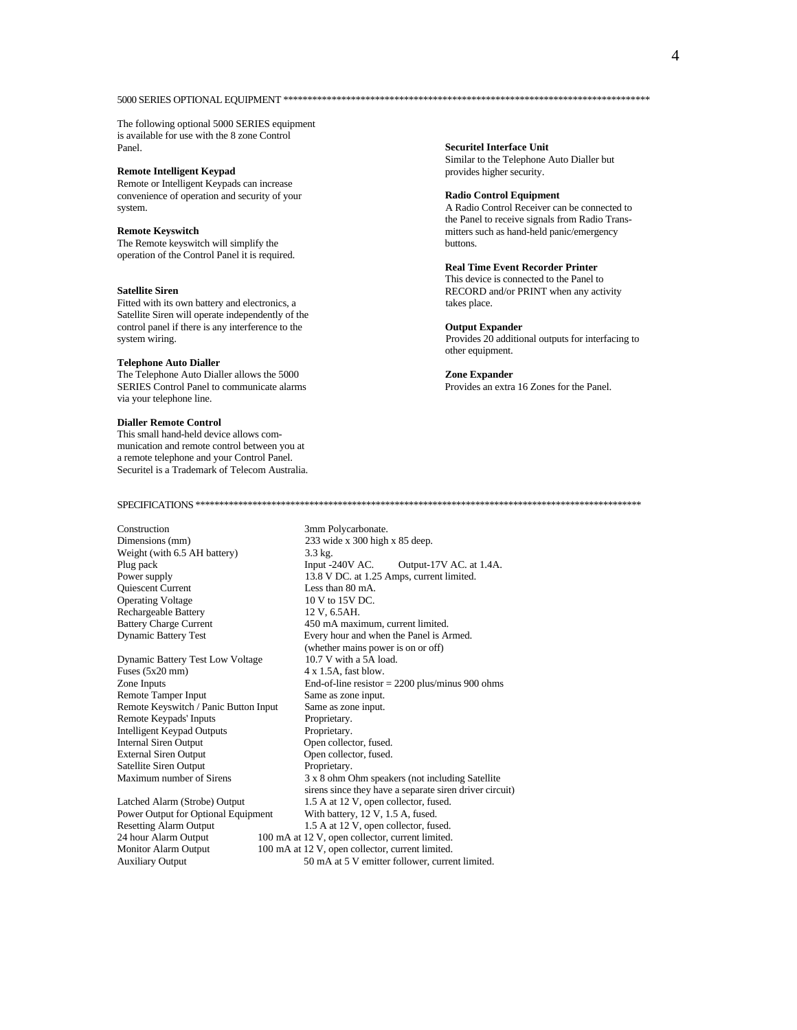## 

The following optional 5000 SERIES equipment is available for use with the 8 zone Control Panel.

## **Remote Intelligent Keypad**

Remote or Intelligent Keypads can increase convenience of operation and security of your system.

## **Remote Keyswitch**

The Remote keyswitch will simplify the operation of the Control Panel it is required.

## **Satellite Siren**

Fitted with its own battery and electronics, a Satellite Siren will operate independently of the control panel if there is any interference to the system wiring.

## **Telephone Auto Dialler**

The Telephone Auto Dialler allows the 5000 SERIES Control Panel to communicate alarms via your telephone line.

## **Dialler Remote Control**

This small hand-held device allows communication and remote control between you at a remote telephone and your Control Panel. Securitel is a Trademark of Telecom Australia.

## 

Construction Dimensions (mm) Weight (with 6.5 AH battery) Plug pack Power supply Quiescent Current **Operating Voltage** Rechargeable Battery **Battery Charge Current Dynamic Battery Test** 

Dynamic Battery Test Low Voltage Fuses  $(5x20$  mm) Zone Inputs Remote Tamper Input Remote Keyswitch / Panic Button Input Remote Keypads' Inputs Intelligent Keypad Outputs **Internal Siren Output External Siren Output** Satellite Siren Output Maximum number of Sirens

Latched Alarm (Strobe) Output Power Output for Optional Equipment **Resetting Alarm Output** 24 hour Alarm Output Monitor Alarm Output **Auxiliary Output** 

233 wide x 300 high x 85 deep. 3.3 kg. Input -240V AC. Output-17V AC. at 1.4A. 13.8 V DC. at 1.25 Amps, current limited. Less than 80 mA. 10 V to 15V DC. 12 V. 6.5AH. 450 mA maximum, current limited. Every hour and when the Panel is Armed. (whether mains power is on or off) 10.7 V with a 5A load. 4 x 1.5A, fast blow. End-of-line resistor  $= 2200$  plus/minus 900 ohms Same as zone input. Same as zone input. Proprietary. Proprietary. Open collector, fused. Open collector, fused. Proprietary. 3 x 8 ohm Ohm speakers (not including Satellite sirens since they have a separate siren driver circuit) 1.5 A at 12 V, open collector, fused. With battery,  $12$  V, 1.5 A, fused. 1.5 A at 12 V, open collector, fused. 100 mA at 12 V, open collector, current limited. 100 mA at 12 V, open collector, current limited. 50 mA at 5 V emitter follower, current limited.

**Securitel Interface Unit** Similar to the Telephone Auto Dialler but provides higher security.

### **Radio Control Equipment**

A Radio Control Receiver can be connected to the Panel to receive signals from Radio Transmitters such as hand-held panic/emergency buttons.

## **Real Time Event Recorder Printer**

This device is connected to the Panel to RECORD and/or PRINT when any activity takes place.

## **Output Expander**

Provides 20 additional outputs for interfacing to other equipment.

## **Zone Expander**

Provides an extra 16 Zones for the Panel.

3mm Polycarbonate.

 $\overline{A}$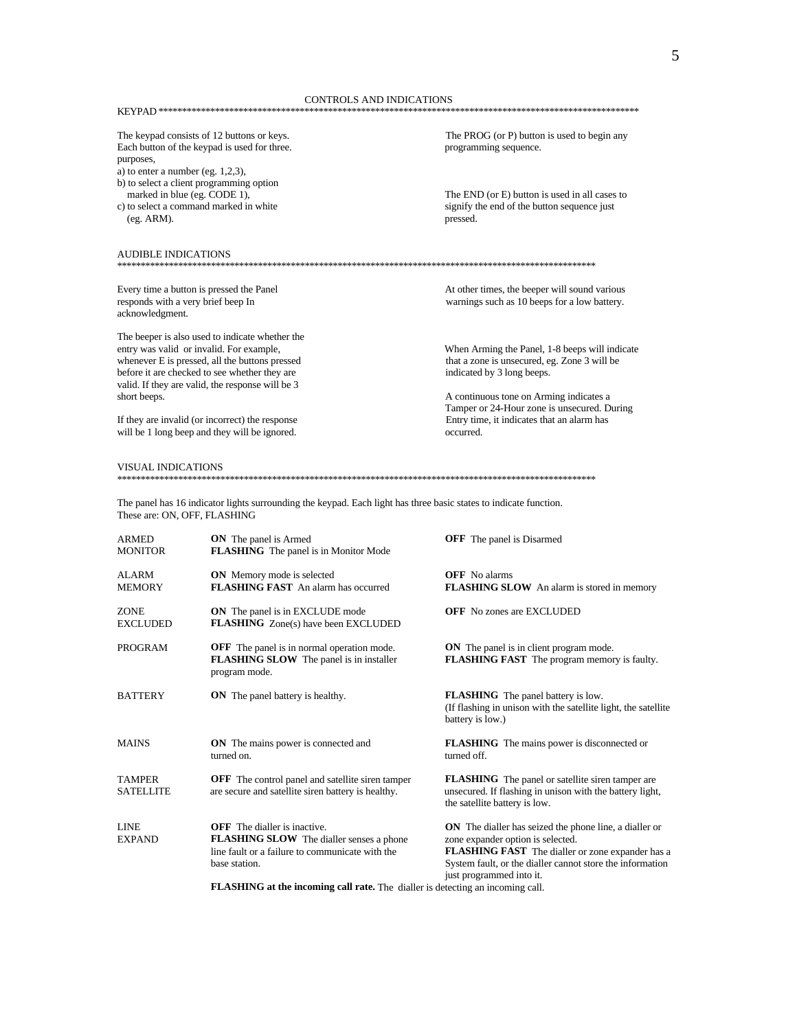## The keypad consists of 12 buttons or keys. Each button of the keypad is used for three. purposes,

- a) to enter a number (eg.  $1,2,3$ ),
- b) to select a client programming option marked in blue (eg. CODE 1),
- c) to select a command marked in white (eg. ARM).

#### **AUDIBLE INDICATIONS** \*\*\*\*\*\*\*

Every time a button is pressed the Panel responds with a very brief beep In acknowledgment.

The beeper is also used to indicate whether the entry was valid or invalid. For example, whenever E is pressed, all the buttons pressed before it are checked to see whether they are valid. If they are valid, the response will be 3 short beeps.

If they are invalid (or incorrect) the response will be 1 long beep and they will be ignored.

## **VISUAL INDICATIONS**

The panel has 16 indicator lights surrounding the keypad. Each light has three basic states to indicate function. These are: ON, OFF, FLASHING

| <b>ARMED</b><br><b>MONITOR</b>    | <b>ON</b> The panel is Armed<br><b>FLASHING</b> The panel is in Monitor Mode                                                                       | <b>OFF</b> The panel is Disarmed                                                                                                                                                                                                         |
|-----------------------------------|----------------------------------------------------------------------------------------------------------------------------------------------------|------------------------------------------------------------------------------------------------------------------------------------------------------------------------------------------------------------------------------------------|
| <b>ALARM</b><br><b>MEMORY</b>     | <b>ON</b> Memory mode is selected<br><b>FLASHING FAST</b> An alarm has occurred                                                                    | <b>OFF</b> No alarms<br>FLASHING SLOW An alarm is stored in memory                                                                                                                                                                       |
| <b>ZONE</b><br><b>EXCLUDED</b>    | <b>ON</b> The panel is in EXCLUDE mode<br><b>FLASHING</b> Zone(s) have been EXCLUDED                                                               | <b>OFF</b> No zones are EXCLUDED                                                                                                                                                                                                         |
| PROGRAM                           | <b>OFF</b> The panel is in normal operation mode.<br><b>FLASHING SLOW</b> The panel is in installer<br>program mode.                               | <b>ON</b> The panel is in client program mode.<br><b>FLASHING FAST</b> The program memory is faulty.                                                                                                                                     |
| <b>BATTERY</b>                    | <b>ON</b> The panel battery is healthy.                                                                                                            | <b>FLASHING</b> The panel battery is low.<br>(If flashing in unison with the satellite light, the satellite<br>battery is low.)                                                                                                          |
| <b>MAINS</b>                      | <b>ON</b> The mains power is connected and<br>turned on.                                                                                           | <b>FLASHING</b> The mains power is disconnected or<br>turned off.                                                                                                                                                                        |
| <b>TAMPER</b><br><b>SATELLITE</b> | <b>OFF</b> The control panel and satellite siren tamper<br>are secure and satellite siren battery is healthy.                                      | <b>FLASHING</b> The panel or satellite siren tamper are<br>unsecured. If flashing in unison with the battery light,<br>the satellite battery is low.                                                                                     |
| <b>LINE</b><br><b>EXPAND</b>      | <b>OFF</b> The dialler is inactive<br>FLASHING SLOW The dialler senses a phone<br>line fault or a failure to communicate with the<br>base station. | ON The dialler has seized the phone line, a dialler or<br>zone expander option is selected.<br>FLASHING FAST The dialler or zone expander has a<br>System fault, or the dialler cannot store the information<br>just programmed into it. |
|                                   | <b>FLASHING</b> at the incoming call rate. The dialler is detecting an incoming call.                                                              |                                                                                                                                                                                                                                          |

The PROG (or P) button is used to begin any programming sequence.

The END (or E) button is used in all cases to signify the end of the button sequence just pressed.

At other times, the beeper will sound various warnings such as 10 beeps for a low battery.

When Arming the Panel, 1-8 beeps will indicate that a zone is unsecured, eg. Zone 3 will be indicated by 3 long beeps.

A continuous tone on Arming indicates a Tamper or 24-Hour zone is unsecured. During Entry time, it indicates that an alarm has occurred.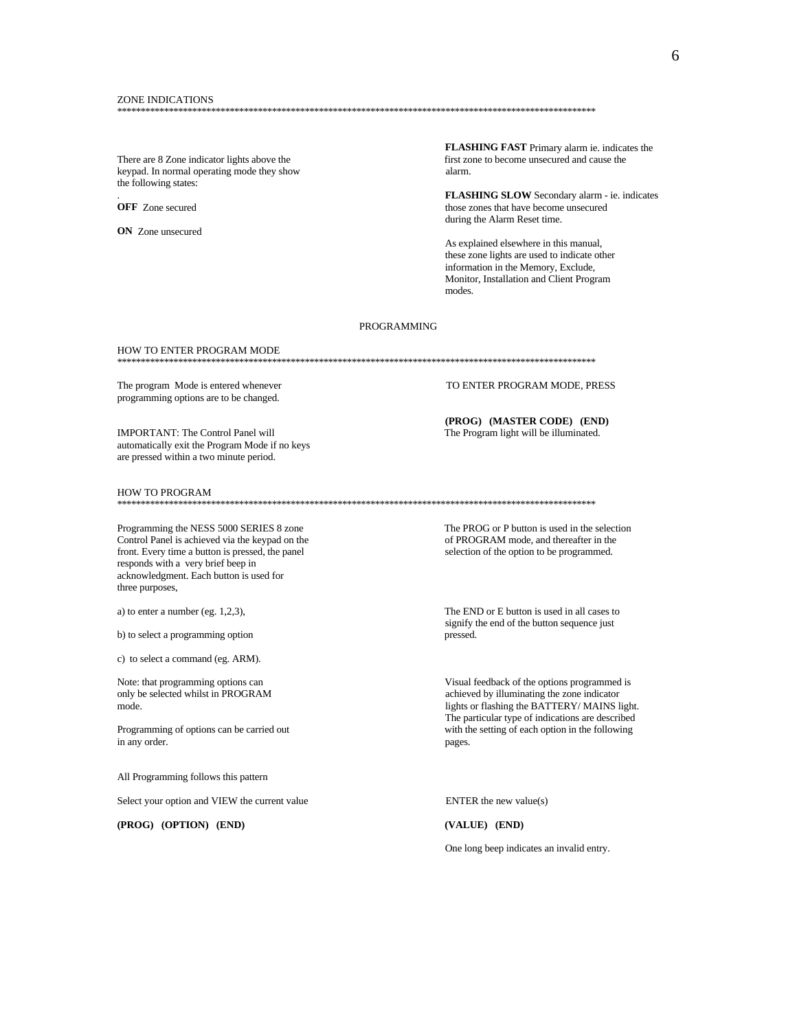There are 8 Zone indicator lights above the keypad. In normal operating mode they show the following states:

**OFF** Zone secured

ON Zone unsecured

FLASHING FAST Primary alarm ie. indicates the first zone to become unsecured and cause the alarm.

FLASHING SLOW Secondary alarm - ie. indicates those zones that have become unsecured during the Alarm Reset time.

As explained elsewhere in this manual, these zone lights are used to indicate other information in the Memory, Exclude, Monitor, Installation and Client Program modes

## **PROGRAMMING**

#### HOW TO ENTER PROGRAM MODE

The program Mode is entered whenever programming options are to be changed.

**IMPORTANT: The Control Panel will** automatically exit the Program Mode if no keys are pressed within a two minute period.

## **HOW TO PROGRAM**

Programming the NESS 5000 SERIES 8 zone Control Panel is achieved via the keypad on the front. Every time a button is pressed, the panel responds with a very brief beep in acknowledgment. Each button is used for three purposes,

a) to enter a number (eg.  $1,2,3$ ),

b) to select a programming option

c) to select a command (eg. ARM).

Note: that programming options can only be selected whilst in PROGRAM mode

Programming of options can be carried out in any order.

All Programming follows this pattern

Select your option and VIEW the current value

(PROG) (OPTION) (END)

TO ENTER PROGRAM MODE. PRESS

(PROG) (MASTER CODE) (END) The Program light will be illuminated.

The PROG or P button is used in the selection of PROGRAM mode, and thereafter in the selection of the option to be programmed.

The END or E button is used in all cases to signify the end of the button sequence just pressed.

Visual feedback of the options programmed is achieved by illuminating the zone indicator lights or flashing the BATTERY/MAINS light. The particular type of indications are described with the setting of each option in the following pages.

ENTER the new value(s)

(VALUE) (END)

One long beep indicates an invalid entry.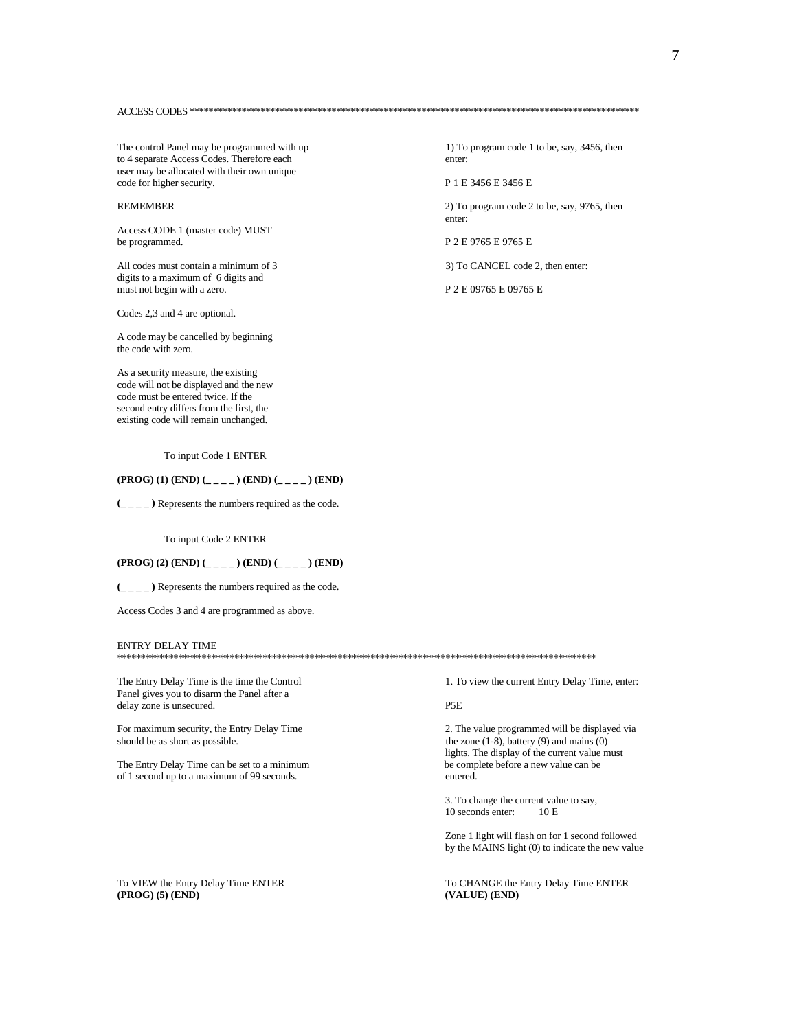The control Panel may be programmed with up to 4 separate Access Codes. Therefore each user may be allocated with their own unique code for higher security.

## **REMEMBER**

Access CODE 1 (master code) MUST be programmed.

All codes must contain a minimum of 3 digits to a maximum of 6 digits and must not begin with a zero.

Codes 2,3 and 4 are optional.

A code may be cancelled by beginning the code with zero.

As a security measure, the existing code will not be displayed and the new code must be entered twice. If the second entry differs from the first, the existing code will remain unchanged.

## To input Code 1 ENTER

## $(PROG) (1) (END) (____ ) (END) (____ ) (END)$

 $(\_ \_ \_ \_ )$  Represents the numbers required as the code.

To input Code 2 ENTER

(PROG) (2) (END) (\_\_\_\_) (END) (\_\_\_\_) (END)

 $(\_ \_ \_ \_ )$  Represents the numbers required as the code.

Access Codes 3 and 4 are programmed as above.

### ENTRY DELAY TIME

The Entry Delay Time is the time the Control Panel gives you to disarm the Panel after a delay zone is unsecured.

For maximum security, the Entry Delay Time should be as short as possible.

The Entry Delay Time can be set to a minimum of 1 second up to a maximum of 99 seconds.

To VIEW the Entry Delay Time ENTER (PROG) (5) (END)

1) To program code 1 to be, say, 3456, then enter:

P 1 E 3456 E 3456 E

2) To program code 2 to be, say, 9765, then enter:

P 2 E 9765 E 9765 E

3) To CANCEL code 2, then enter:

P 2 E 09765 E 09765 E

1. To view the current Entry Delay Time, enter:

P<sub>5</sub>E

2. The value programmed will be displayed via the zone  $(1-8)$ , battery  $(9)$  and mains  $(0)$ lights. The display of the current value must be complete before a new value can be entered.

3. To change the current value to say, 10 seconds enter:  $10E$ 

Zone 1 light will flash on for 1 second followed by the MAINS light (0) to indicate the new value

To CHANGE the Entry Delay Time ENTER (VALUE) (END)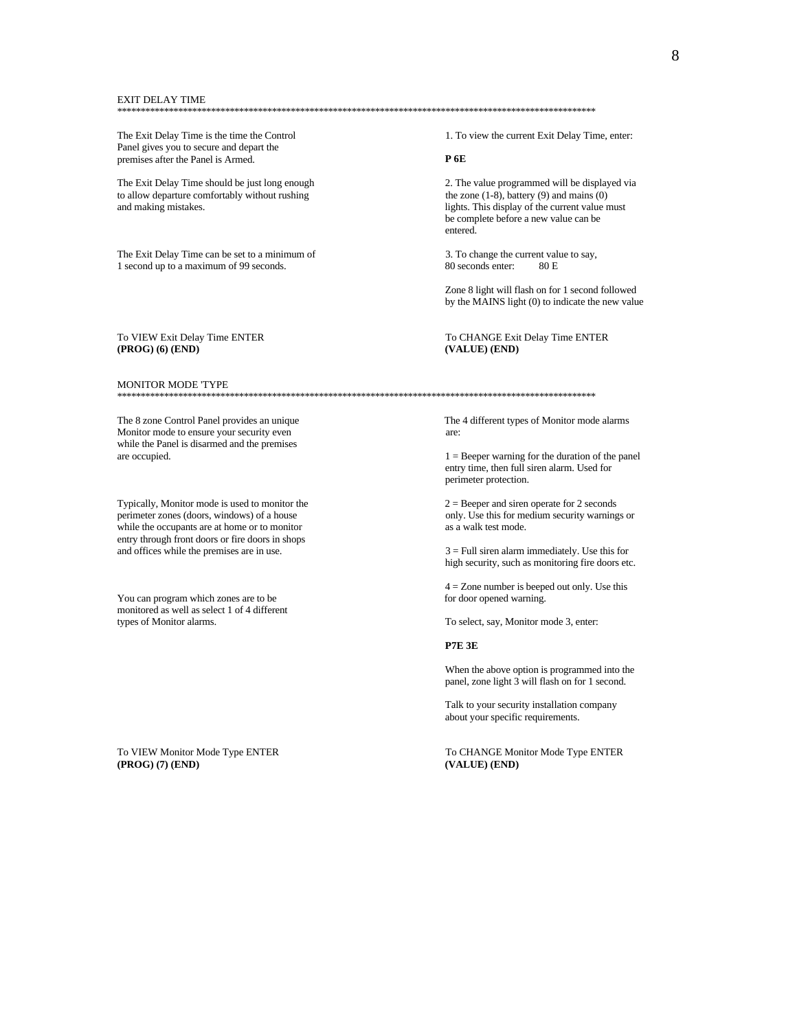#### **EXIT DELAY TIME**

The Exit Delay Time is the time the Control Panel gives you to secure and depart the premises after the Panel is Armed.

The Exit Delay Time should be just long enough to allow departure comfortably without rushing and making mistakes.

The Exit Delay Time can be set to a minimum of 1 second up to a maximum of 99 seconds.

## To VIEW Exit Delay Time ENTER (PROG) (6) (END)

**MONITOR MODE TYPE** 

The 8 zone Control Panel provides an unique Monitor mode to ensure your security even while the Panel is disarmed and the premises are occupied.

Typically, Monitor mode is used to monitor the perimeter zones (doors, windows) of a house while the occupants are at home or to monitor entry through front doors or fire doors in shops and offices while the premises are in use.

You can program which zones are to be monitored as well as select 1 of 4 different types of Monitor alarms.

To VIEW Monitor Mode Type ENTER (PROG) (7) (END)

1. To view the current Exit Delay Time, enter:

## $P$  6E

2. The value programmed will be displayed via the zone  $(1-8)$ , battery  $(9)$  and mains  $(0)$ lights. This display of the current value must be complete before a new value can be entered.

3. To change the current value to say, 80 seconds enter 80 E

Zone 8 light will flash on for 1 second followed by the MAINS light (0) to indicate the new value

## To CHANGE Exit Delay Time ENTER (VALUE) (END)

The 4 different types of Monitor mode alarms are:

 $1 =$  Beeper warning for the duration of the panel entry time, then full siren alarm. Used for perimeter protection.

 $2 = Beeper$  and siren operate for 2 seconds only. Use this for medium security warnings or as a walk test mode.

 $3 =$  Full siren alarm immediately. Use this for high security, such as monitoring fire doors etc.

 $4 =$  Zone number is beeped out only. Use this for door opened warning.

To select, say, Monitor mode 3, enter:

**P7E 3E** 

When the above option is programmed into the panel, zone light 3 will flash on for 1 second.

Talk to your security installation company about your specific requirements.

To CHANGE Monitor Mode Type ENTER (VALUE) (END)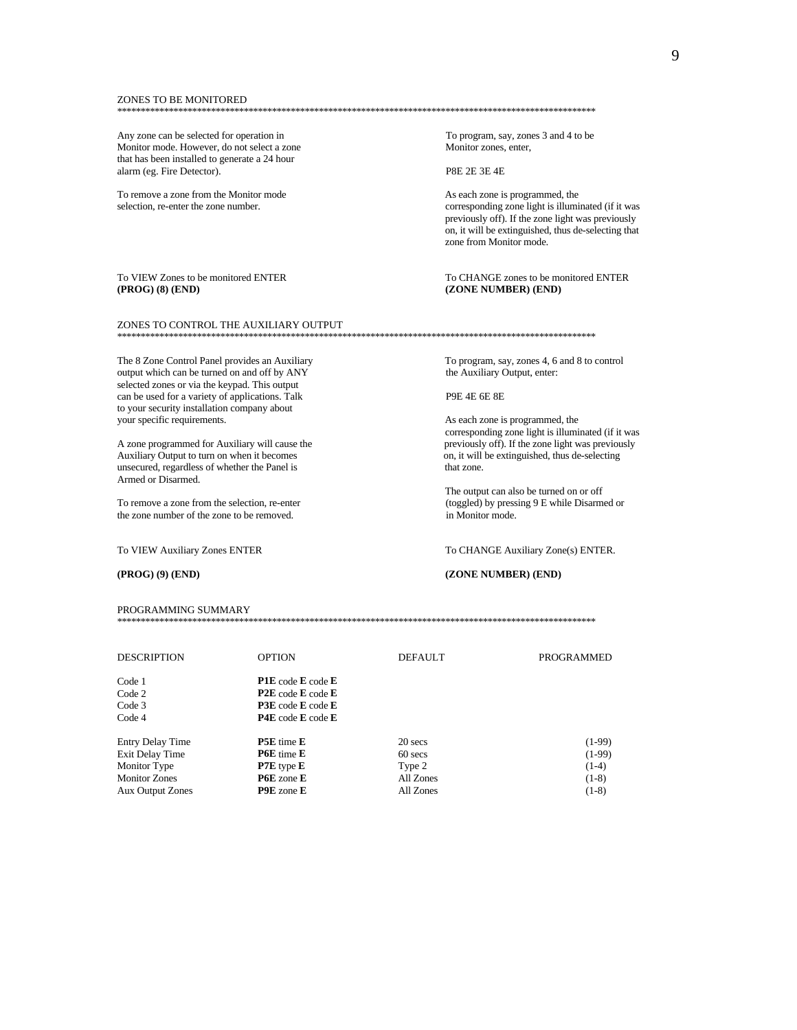### ZONES TO BE MONITORED

Any zone can be selected for operation in Monitor mode. However, do not select a zone that has been installed to generate a 24 hour alarm (eg. Fire Detector).

To remove a zone from the Monitor mode selection, re-enter the zone number.

## To VIEW Zones to be monitored ENTER (PROG) (8) (END)

### ZONES TO CONTROL THE AUXILIARY OUTPUT

The 8 Zone Control Panel provides an Auxiliary output which can be turned on and off by ANY selected zones or via the keypad. This output can be used for a variety of applications. Talk to your security installation company about your specific requirements.

A zone programmed for Auxiliary will cause the Auxiliary Output to turn on when it becomes unsecured, regardless of whether the Panel is Armed or Disarmed.

To remove a zone from the selection, re-enter the zone number of the zone to be removed.

## To VIEW Auxiliary Zones ENTER

## $(PROG) (9) (END)$

PROGRAMMING SUMMARY

To program, say, zones 3 and 4 to be Monitor zones, enter,

P8E 2E 3E 4E

As each zone is programmed, the corresponding zone light is illuminated (if it was previously off). If the zone light was previously on, it will be extinguished, thus de-selecting that zone from Monitor mode.

To CHANGE zones to be monitored ENTER (ZONE NUMBER) (END)

### 

To program, say, zones 4, 6 and 8 to control the Auxiliary Output, enter:

## P9E 4E 6E 8E

As each zone is programmed, the corresponding zone light is illuminated (if it was previously off). If the zone light was previously on, it will be extinguished, thus de-selecting that zone.

The output can also be turned on or off (toggled) by pressing 9 E while Disarmed or in Monitor mode.

## To CHANGE Auxiliary Zone(s) ENTER.

## (ZONE NUMBER) (END)

| <b>DESCRIPTION</b>      | <b>OPTION</b>                          | <b>DEFAULT</b> | PROGRAMMED |
|-------------------------|----------------------------------------|----------------|------------|
| Code 1                  | PIE code E code E                      |                |            |
| Code 2                  | $P2E$ code E code E                    |                |            |
| Code 3                  | <b>P3E</b> code <b>E</b> code <b>E</b> |                |            |
| Code 4                  | $P4E$ code E code E                    |                |            |
| <b>Entry Delay Time</b> | <b>P5E</b> time <b>E</b>               | 20 secs        | $(1-99)$   |
| Exit Delay Time         | <b>P6E</b> time <b>E</b>               | 60 secs        | $(1-99)$   |
| Monitor Type            | $P7E$ type $E$                         | Type 2         | $(1-4)$    |
| <b>Monitor Zones</b>    | <b>P6E</b> zone <b>E</b>               | All Zones      | $(1-8)$    |
| <b>Aux Output Zones</b> | <b>P9E</b> zone <b>E</b>               | All Zones      | $(1-8)$    |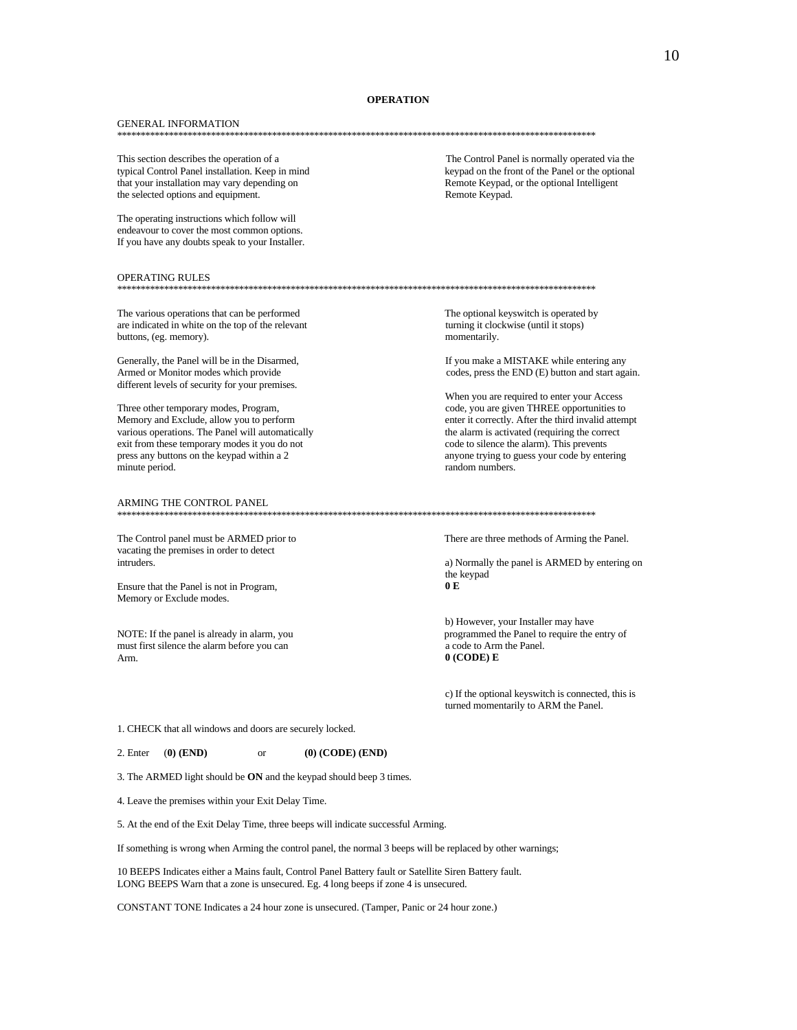## **OPERATION**

### **GENERAL INFORMATION**

the selected options and equipment.

This section describes the operation of a typical Control Panel installation. Keep in mind that your installation may vary depending on

The operating instructions which follow will endeavour to cover the most common options. If you have any doubts speak to your Installer.

#### OPERATING RULES

The various operations that can be performed are indicated in white on the top of the relevant buttons, (eg. memory).

Generally, the Panel will be in the Disarmed, Armed or Monitor modes which provide different levels of security for your premises.

Three other temporary modes, Program, Memory and Exclude, allow you to perform various operations. The Panel will automatically exit from these temporary modes it you do not press any buttons on the keypad within a 2 minute period.

### ARMING THE CONTROL PANEL

The Control panel must be ARMED prior to vacating the premises in order to detect intruders.

Ensure that the Panel is not in Program, Memory or Exclude modes.

NOTE: If the panel is already in alarm, you must first silence the alarm before you can Arm.

The Control Panel is normally operated via the keypad on the front of the Panel or the optional Remote Keypad, or the optional Intelligent Remote Keypad.

The optional keyswitch is operated by turning it clockwise (until it stops) momentarily.

If you make a MISTAKE while entering any codes, press the END (E) button and start again.

When you are required to enter your Access code, you are given THREE opportunities to enter it correctly. After the third invalid attempt the alarm is activated (requiring the correct code to silence the alarm). This prevents anyone trying to guess your code by entering random numbers.

There are three methods of Arming the Panel.

a) Normally the panel is ARMED by entering on the keypad  $0\,\mathbf{E}$ 

b) However, your Installer may have programmed the Panel to require the entry of a code to Arm the Panel.  $0$  (CODE) E

c) If the optional keyswitch is connected, this is turned momentarily to ARM the Panel.

1. CHECK that all windows and doors are securely locked.

 $(0)$  (CODE) (END)

 $\alpha$ 3. The ARMED light should be ON and the keypad should beep 3 times.

4. Leave the premises within your Exit Delay Time.

5. At the end of the Exit Delay Time, three beeps will indicate successful Arming.

If something is wrong when Arming the control panel, the normal 3 beeps will be replaced by other warnings;

10 BEEPS Indicates either a Mains fault, Control Panel Battery fault or Satellite Siren Battery fault. LONG BEEPS Warn that a zone is unsecured. Eg. 4 long beeps if zone 4 is unsecured.

CONSTANT TONE Indicates a 24 hour zone is unsecured. (Tamper, Panic or 24 hour zone.)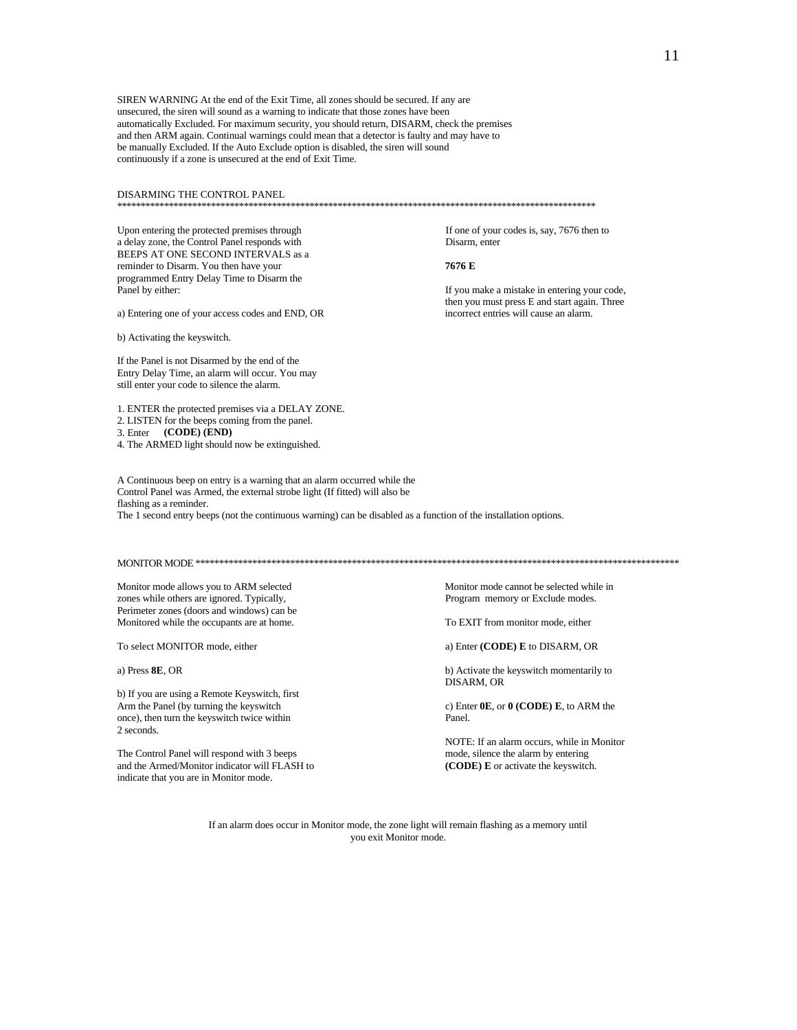SIREN WARNING At the end of the Exit Time, all zones should be secured. If any are unsecured, the siren will sound as a warning to indicate that those zones have been automatically Excluded. For maximum security, you should return, DISARM, check the premises and then ARM again. Continual warnings could mean that a detector is faulty and may have to be manually Excluded. If the Auto Exclude option is disabled, the siren will sound continuously if a zone is unsecured at the end of Exit Time.

DISARMING THE CONTROL PANEL

\*\*\*\*\*\*\*\*\*\*\*\*\*\*\*\*\*\*\*\*\*\*\*\*\*\*\*\*\*\*\*\*\*\*\*\*\*\*\*\*\*\*\*\*\*\*\*\*\*\*\*\*\*\*\*\*\*\*\*\*\*\*\*\*\*\*\*\*\*\*\*\*\*\*\*\*\*\*\*\*\*\*\*\*\*\*\*\*\*\*\*\*\*\*\*\*\*\*\*\*\*\*

a delay zone, the Control Panel responds with Disarm, enter BEEPS AT ONE SECOND INTERVALS as a reminder to Disarm. You then have your **7676 E** programmed Entry Delay Time to Disarm the

a) Entering one of your access codes and END, OR

b) Activating the keyswitch.

If the Panel is not Disarmed by the end of the Entry Delay Time, an alarm will occur. You may still enter your code to silence the alarm.

1. ENTER the protected premises via a DELAY ZONE.

2. LISTEN for the beeps coming from the panel.

3. Enter **(CODE) (END)**

4. The ARMED light should now be extinguished.

A Continuous beep on entry is a warning that an alarm occurred while the Control Panel was Armed, the external strobe light (If fitted) will also be flashing as a reminder. The 1 second entry beeps (not the continuous warning) can be disabled as a function of the installation options.

MONITOR MODE \*\*\*\*\*\*\*\*\*\*\*\*\*\*\*\*\*\*\*\*\*\*\*\*\*\*\*\*\*\*\*\*\*\*\*\*\*\*\*\*\*\*\*\*\*\*\*\*\*\*\*\*\*\*\*\*\*\*\*\*\*\*\*\*\*\*\*\*\*\*\*\*\*\*\*\*\*\*\*\*\*\*\*\*\*\*\*\*\*\*\*\*\*\*\*\*\*\*\*\*\*\*

Monitor mode allows you to ARM selected Monitor mode cannot be selected while in<br>
memory or Exclude modes.<br>
Monitor mode cannot be selected while in<br>
Program memory or Exclude modes. zones while others are ignored. Typically, Perimeter zones (doors and windows) can be Monitored while the occupants are at home. To EXIT from monitor mode, either

To select MONITOR mode, either a) Enter **(CODE)** E to DISARM, OR

b) If you are using a Remote Keyswitch, first Arm the Panel (by turning the keyswitch c) Enter **0E**, or **0 (CODE) E**, to ARM the once), then turn the keyswitch twice within Panel. 2 seconds.

The Control Panel will respond with 3 beeps mode, silence the alarm by entering and the Armed/Monitor indicator will FLASH to **(CODE) E** or activate the keyswitch. indicate that you are in Monitor mode.

a) Press **8E**, OR b) Activate the keyswitch momentarily to DISARM, OR

NOTE: If an alarm occurs, while in Monitor

If an alarm does occur in Monitor mode, the zone light will remain flashing as a memory until you exit Monitor mode.

# Upon entering the protected premises through If one of your codes is, say, 7676 then to

Panel by either: **If you make a mistake in entering your code**, then you must press E and start again. Three<br>incorrect entries will cause an alarm.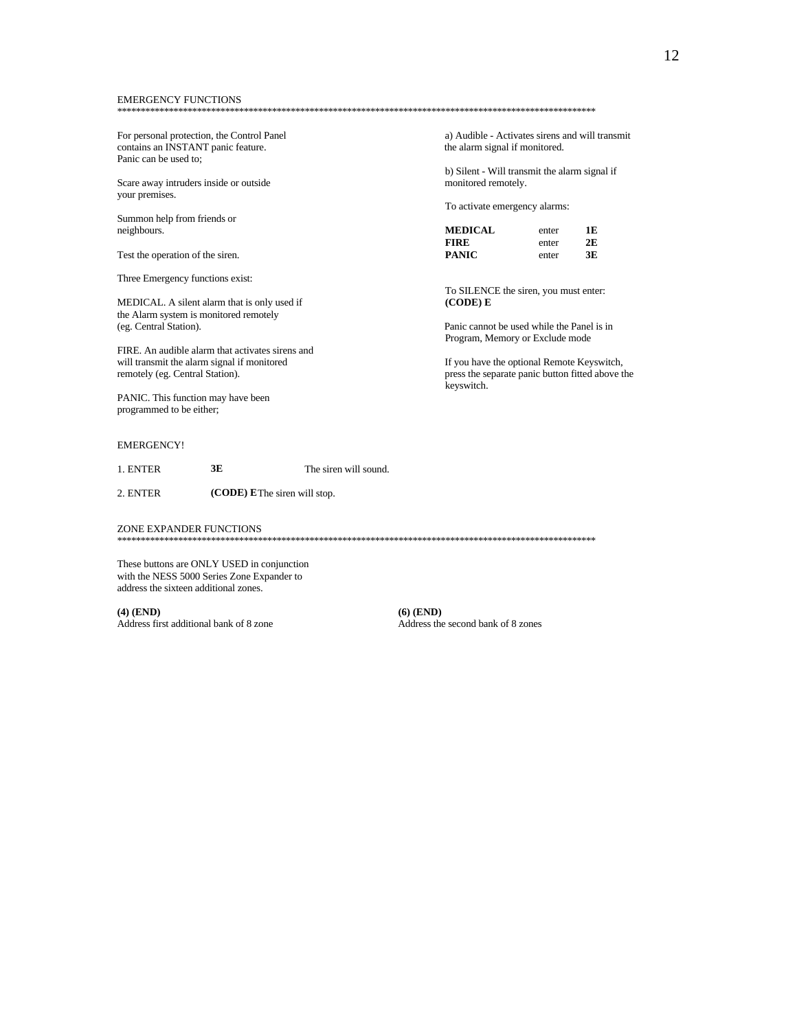### **EMERGENCY FUNCTIONS**

For personal protection, the Control Panel contains an INSTANT panic feature. Panic can be used to;

Scare away intruders inside or outside your premises.

Summon help from friends or neighbours.

Test the operation of the siren.

Three Emergency functions exist:

MEDICAL. A silent alarm that is only used if the Alarm system is monitored remotely (eg. Central Station).

FIRE. An audible alarm that activates sirens and will transmit the alarm signal if monitored remotely (eg. Central Station).

PANIC. This function may have been programmed to be either;

## **EMERGENCY!**

 $3E$ 1 ENTER The siren will sound

(CODE) EThe siren will stop. 2. ENTER

ZONE EXPANDER FUNCTIONS

These buttons are ONLY USED in conjunction with the NESS 5000 Series Zone Expander to address the sixteen additional zones.

 $(4)$  (END) Address first additional bank of 8 zone  $(6)$  (END) Address the second bank of 8 zones

a) Audible - Activates sirens and will transmit the alarm signal if monitored.

b) Silent - Will transmit the alarm signal if monitored remotely.

To activate emergency alarms:

| <b>MEDICAL</b> | enter | 1E |
|----------------|-------|----|
| FIRE           | enter | 2E |
| PANIC          | enter | 3E |

To SILENCE the siren, you must enter: (CODE) E

Panic cannot be used while the Panel is in Program, Memory or Exclude mode

If you have the optional Remote Keyswitch, press the separate panic button fitted above the keyswitch.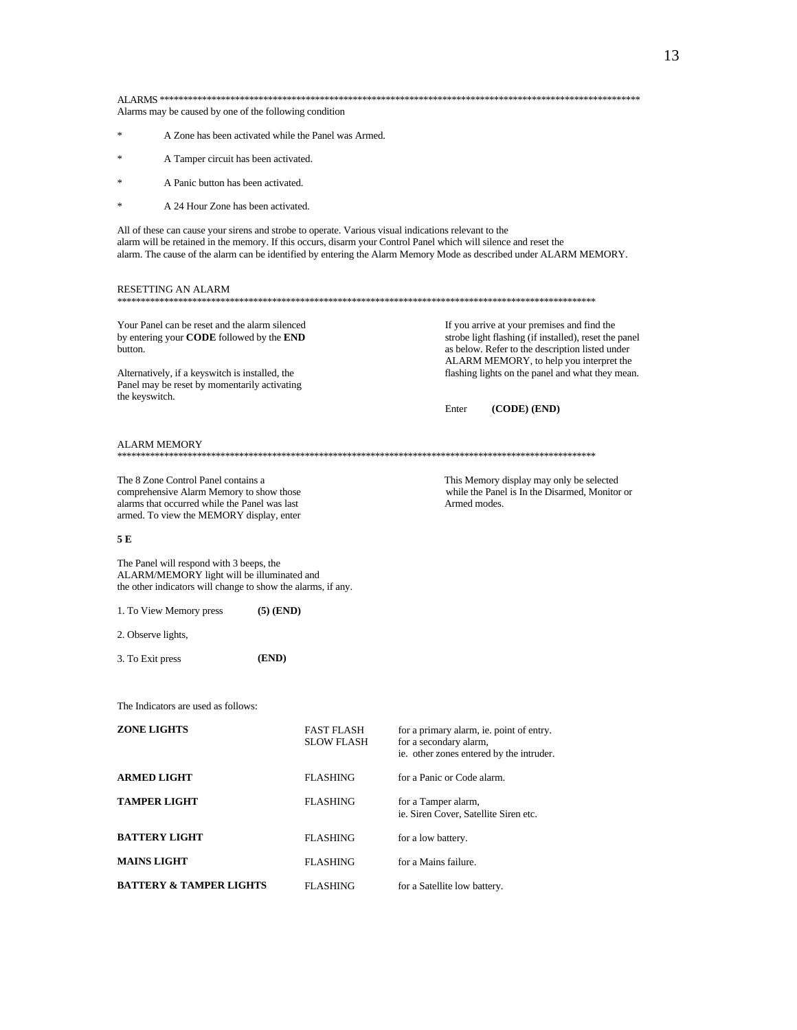| Alarms may be caused by one of the following condition |                                                                                                                                                                                                              |             |                                                                                                                                                                                                                          |                              |              |                                                                                                                                                                                                                                                        |
|--------------------------------------------------------|--------------------------------------------------------------------------------------------------------------------------------------------------------------------------------------------------------------|-------------|--------------------------------------------------------------------------------------------------------------------------------------------------------------------------------------------------------------------------|------------------------------|--------------|--------------------------------------------------------------------------------------------------------------------------------------------------------------------------------------------------------------------------------------------------------|
| ∗                                                      | A Zone has been activated while the Panel was Armed.                                                                                                                                                         |             |                                                                                                                                                                                                                          |                              |              |                                                                                                                                                                                                                                                        |
| ∗                                                      | A Tamper circuit has been activated.                                                                                                                                                                         |             |                                                                                                                                                                                                                          |                              |              |                                                                                                                                                                                                                                                        |
| $\ast$                                                 | A Panic button has been activated.                                                                                                                                                                           |             |                                                                                                                                                                                                                          |                              |              |                                                                                                                                                                                                                                                        |
| $\ast$                                                 | A 24 Hour Zone has been activated.                                                                                                                                                                           |             |                                                                                                                                                                                                                          |                              |              |                                                                                                                                                                                                                                                        |
|                                                        |                                                                                                                                                                                                              |             | All of these can cause your sirens and strobe to operate. Various visual indications relevant to the<br>alarm will be retained in the memory. If this occurs, disarm your Control Panel which will silence and reset the |                              |              | alarm. The cause of the alarm can be identified by entering the Alarm Memory Mode as described under ALARM MEMORY.                                                                                                                                     |
|                                                        | RESETTING AN ALARM                                                                                                                                                                                           |             |                                                                                                                                                                                                                          |                              |              |                                                                                                                                                                                                                                                        |
| button.<br>the keyswitch.                              | Your Panel can be reset and the alarm silenced<br>by entering your <b>CODE</b> followed by the <b>END</b><br>Alternatively, if a keyswitch is installed, the<br>Panel may be reset by momentarily activating |             |                                                                                                                                                                                                                          |                              |              | If you arrive at your premises and find the<br>strobe light flashing (if installed), reset the panel<br>as below. Refer to the description listed under<br>ALARM MEMORY, to help you interpret the<br>flashing lights on the panel and what they mean. |
|                                                        |                                                                                                                                                                                                              |             |                                                                                                                                                                                                                          |                              | Enter        | (CODE) (END)                                                                                                                                                                                                                                           |
| ALARM MEMORY                                           |                                                                                                                                                                                                              |             |                                                                                                                                                                                                                          |                              |              |                                                                                                                                                                                                                                                        |
|                                                        | The 8 Zone Control Panel contains a<br>comprehensive Alarm Memory to show those<br>alarms that occurred while the Panel was last<br>armed. To view the MEMORY display, enter                                 |             |                                                                                                                                                                                                                          |                              | Armed modes. | This Memory display may only be selected<br>while the Panel is In the Disarmed, Monitor or                                                                                                                                                             |
| 5 E                                                    |                                                                                                                                                                                                              |             |                                                                                                                                                                                                                          |                              |              |                                                                                                                                                                                                                                                        |
|                                                        | The Panel will respond with 3 beeps, the<br>ALARM/MEMORY light will be illuminated and<br>the other indicators will change to show the alarms, if any.                                                       |             |                                                                                                                                                                                                                          |                              |              |                                                                                                                                                                                                                                                        |
|                                                        | 1. To View Memory press                                                                                                                                                                                      | $(5)$ (END) |                                                                                                                                                                                                                          |                              |              |                                                                                                                                                                                                                                                        |
| 2. Observe lights,                                     |                                                                                                                                                                                                              |             |                                                                                                                                                                                                                          |                              |              |                                                                                                                                                                                                                                                        |
| 3. To Exit press                                       |                                                                                                                                                                                                              | (END)       |                                                                                                                                                                                                                          |                              |              |                                                                                                                                                                                                                                                        |
|                                                        |                                                                                                                                                                                                              |             |                                                                                                                                                                                                                          |                              |              |                                                                                                                                                                                                                                                        |
|                                                        | The Indicators are used as follows:                                                                                                                                                                          |             |                                                                                                                                                                                                                          |                              |              |                                                                                                                                                                                                                                                        |
| <b>ZONE LIGHTS</b>                                     |                                                                                                                                                                                                              |             | FAST FLASH<br><b>SLOW FLASH</b>                                                                                                                                                                                          | for a secondary alarm,       |              | for a primary alarm, ie. point of entry.<br>ie. other zones entered by the intruder.                                                                                                                                                                   |
| <b>ARMED LIGHT</b>                                     |                                                                                                                                                                                                              |             | <b>FLASHING</b>                                                                                                                                                                                                          | for a Panic or Code alarm.   |              |                                                                                                                                                                                                                                                        |
| <b>TAMPER LIGHT</b>                                    |                                                                                                                                                                                                              |             | <b>FLASHING</b>                                                                                                                                                                                                          | for a Tamper alarm,          |              | ie. Siren Cover, Satellite Siren etc.                                                                                                                                                                                                                  |
|                                                        | <b>BATTERY LIGHT</b>                                                                                                                                                                                         |             | <b>FLASHING</b>                                                                                                                                                                                                          | for a low battery.           |              |                                                                                                                                                                                                                                                        |
| <b>MAINS LIGHT</b>                                     |                                                                                                                                                                                                              |             | <b>FLASHING</b>                                                                                                                                                                                                          | for a Mains failure.         |              |                                                                                                                                                                                                                                                        |
|                                                        | <b>BATTERY &amp; TAMPER LIGHTS</b>                                                                                                                                                                           |             | <b>FLASHING</b>                                                                                                                                                                                                          | for a Satellite low battery. |              |                                                                                                                                                                                                                                                        |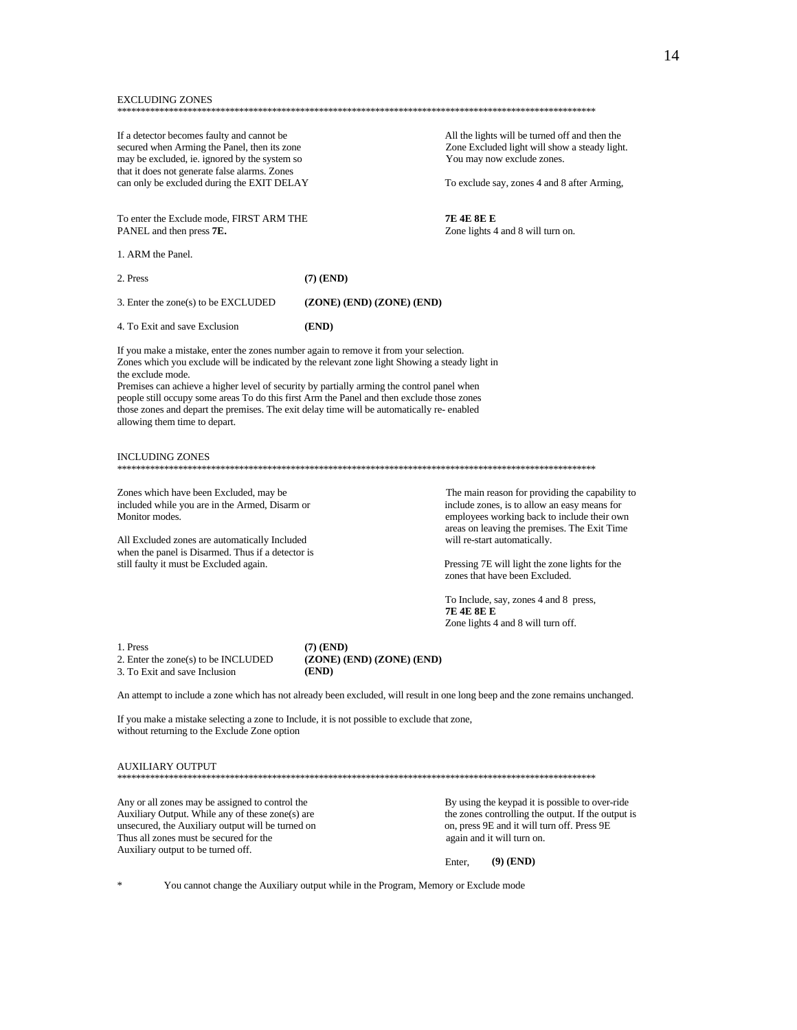#### **EXCLUDING ZONES**

If a detector becomes faulty and cannot be secured when Arming the Panel, then its zone may be excluded, ie. ignored by the system so that it does not generate false alarms. Zones can only be excluded during the EXIT DELAY All the lights will be turned off and then the Zone Excluded light will show a steady light. You may now exclude zones.

To exclude say, zones 4 and 8 after Arming,

**7E 4E 8E E** Zone lights 4 and 8 will turn on.

To enter the Exclude mode, FIRST ARM THE PANEL and then press 7E.

1. ARM the Panel.

 $2$  Press  $(7)$  (END) 3. Enter the zone(s) to be EXCLUDED (ZONE) (END) (ZONE) (END) (END) 4. To Exit and save Exclusion

If you make a mistake, enter the zones number again to remove it from your selection. Zones which you exclude will be indicated by the relevant zone light Showing a steady light in the exclude mode.

Premises can achieve a higher level of security by partially arming the control panel when people still occupy some areas To do this first Arm the Panel and then exclude those zones those zones and depart the premises. The exit delay time will be automatically re- enabled allowing them time to depart.

## **INCLUDING ZONES**

Zones which have been Excluded, may be included while you are in the Armed, Disarm or Monitor modes.

All Excluded zones are automatically Included when the panel is Disarmed. Thus if a detector is still faulty it must be Excluded again.

The main reason for providing the capability to include zones, is to allow an easy means for employees working back to include their own areas on leaving the premises. The Exit Time will re-start automatically.

Pressing 7E will light the zone lights for the zones that have been Excluded.

To Include, say, zones 4 and 8 press, **7E 4E 8E E** Zone lights 4 and 8 will turn off.

1. Press 2. Enter the zone(s) to be INCLUDED 3. To Exit and save Inclusion

 $(7)$  (END) (ZONE) (END) (ZONE) (END) (END)

An attempt to include a zone which has not already been excluded, will result in one long beep and the zone remains unchanged.

If you make a mistake selecting a zone to Include, it is not possible to exclude that zone, without returning to the Exclude Zone option

## **AUXILIARY OUTPUT**

Any or all zones may be assigned to control the Auxiliary Output. While any of these zone(s) are unsecured, the Auxiliary output will be turned on Thus all zones must be secured for the Auxiliary output to be turned off.

By using the keypad it is possible to over-ride the zones controlling the output. If the output is on, press 9E and it will turn off. Press 9E again and it will turn on.

Enter.  $(9)$  (END)

You cannot change the Auxiliary output while in the Program, Memory or Exclude mode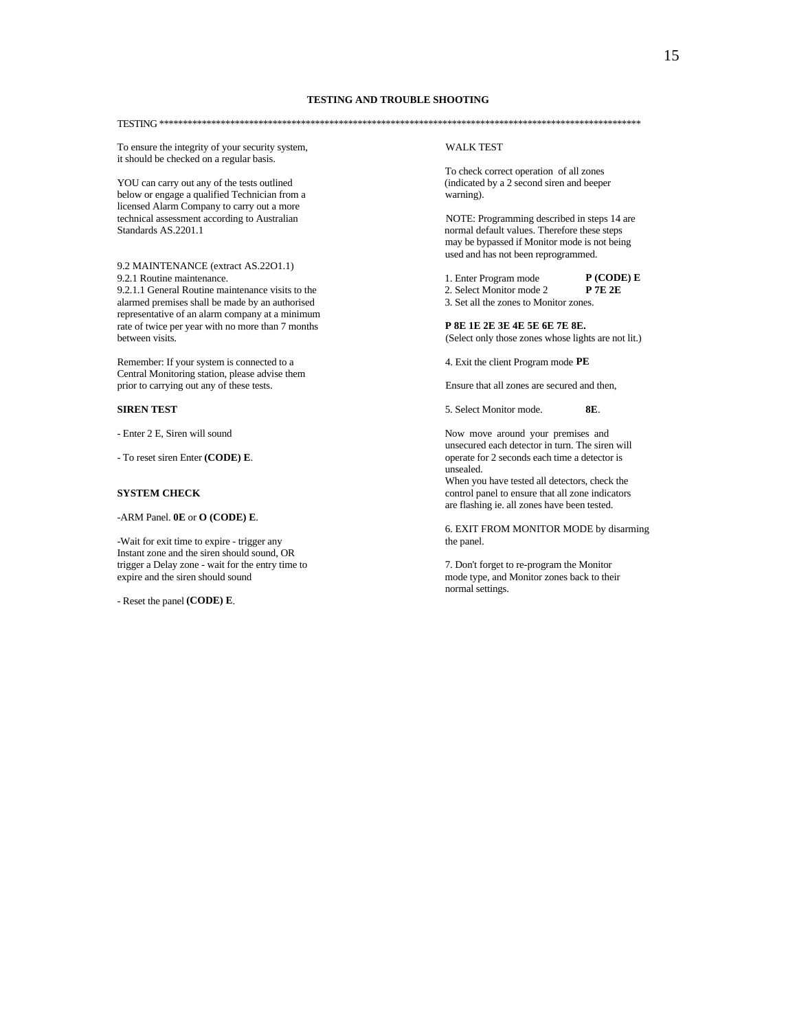TESTING \*\*\*\*\*\*\*\*\*\*\*\*\*\*\*\*\*\*\*\*\*\*\*\*\*\*\*\*\*\*\*\*\*\*\*\*\*\*\*\*\*\*\*\*\*\*\*\*\*\*\*\*\*\*\*\*\*\*\*\*\*\*\*\*\*\*\*\*\*\*\*\*\*\*\*\*\*\*\*\*\*\*\*\*\*\*\*\*\*\*\*\*\*\*\*\*\*\*\*\*\*\*

To ensure the integrity of your security system, WALK TEST it should be checked on a regular basis.

YOU can carry out any of the tests outlined below or engage a qualified Technician from a warning). licensed Alarm Company to carry out a more technical assessment according to Australian NOTE: Programming described in steps 14 are<br>Standards AS.2201.1

9.2 MAINTENANCE (extract AS.22O1.1)

9.2.1.1 General Routine maintenance visits to the 2. Select Monitor mode 2 **P 7E 2E**<br>alarmed premises shall be made by an authorised 3. Set all the zones to Monitor zones. alarmed premises shall be made by an authorised representative of an alarm company at a minimum rate of twice per year with no more than 7 months **P 8E 1E 2E 3E 4E 5E 6E 7E 8E.**<br>between visits. (Select only those zones whose light

Remember: If your system is connected to a 4. Exit the client Program mode **PE** Central Monitoring station, please advise them prior to carrying out any of these tests. Ensure that all zones are secured and then,

-ARM Panel. **0E** or **O (CODE) E**.

-Wait for exit time to expire - trigger any the panel. Instant zone and the siren should sound, OR trigger a Delay zone - wait for the entry time to 7. Don't forget to re-program the Monitor expire and the siren should sound the Monitor zones back to the entry time to  $\overline{a}$ 

- Reset the panel **(CODE) E**.

To check correct operation of all zones<br>(indicated by a 2 second siren and beeper

normal default values. Therefore these steps may be bypassed if Monitor mode is not being used and has not been reprogrammed.

9.2.1 Routine maintenance. 1. Enter Program mode **P (CODE) E**

(Select only those zones whose lights are not lit.)

**SIREN TEST** 8E. Select Monitor mode. **8E.** 

- Enter 2 E, Siren will sound Now move around your premises and unsecured each detector in turn. The siren will - To reset siren Enter **(CODE) E**. operate for 2 seconds each time a detector is unsealed.

When you have tested all detectors, check the **SYSTEM CHECK** control panel to ensure that all zone indicators are flashing ie. all zones have been tested.

6. EXIT FROM MONITOR MODE by disarming

mode type, and Monitor zones back to their normal settings.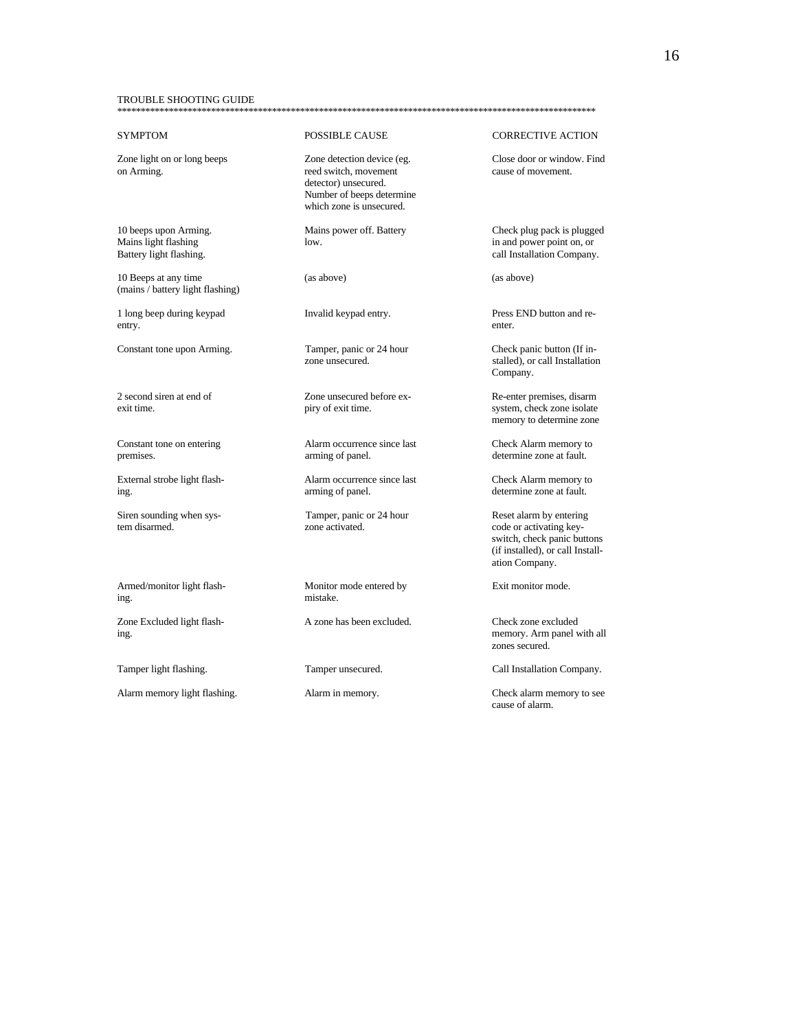### TROUBLE SHOOTING GUIDE \*\*\*\*\*\*\*\*\*\*\*\*\*\*\*\*\*\*\*\*\*\*\*\*\*\*\*\*\*\*\*\*\*\*\*\*\*\*\*\*\*\*\*\*\*\*\*\*\*\*\*\*\*\*\*\*\*\*\*\*\*\*\*\*\*\*\*\*\*\*\*\*\*\*\*\*\*\*\*\*\*\*\*\*\*\*\*\*\*\*\*\*\*\*\*\*\*\*\*\*\*\*

10 Beeps at any time (as above) (as above) (mains / battery light flashing)

1 long beep during keypad Invalid keypad entry. Press END button and reentry. **Example 20** enter.

Siren sounding when sys-<br>
Tamper, panic or 24 hour Reset alarm by entering

Armed/monitor light flash-<br>Monitor mode entered by Exit monitor mode. ing. mistake.

Zone Excluded light flash- A zone has been excluded. Check zone excluded

Alarm memory light flashing. Alarm in memory. Check alarm memory to see

Zone light on or long beeps Zone detection device (eg. Close door or window. Find reed switch, movement detector) unsecured. Number of beeps determine which zone is unsecured.

Constant tone upon Arming.<br>
Tamper, panic or 24 hour<br>
zone unsecured.<br>
Tamper, panic or 24 hour<br>
Stalled), or call Installation

2 second siren at end of Zone unsecured before ex-<br>
exit time.<br>
Pe-enter premises, disarm<br>
exit time.<br>
System, check zone isolate

Constant tone on entering Alarm occurrence since last Check Alarm memory to premises. arming of panel. determine zone at fault.

External strobe light flash-<br>
Alarm occurrence since last Check Alarm memory to<br>
determine zone at fault. ing. arming of panel. determine zone at fault.

tem disarmed. zone activated. code or activating key-

## SYMPTOM POSSIBLE CAUSE CORRECTIVE ACTION

10 beeps upon Arming. Mains power off. Battery Check plug pack is plugged Mains light flashing low. Check plug pack is plugged in and power point on, or Mains light flashing low. In and power point on, or all Installation Company<br>Battery light flashing. In and power point on, or all Installation Company call Installation Company.

stalled), or call Installation Company.

system, check zone isolate memory to determine zone

switch, check panic buttons (if installed), or call Installation Company.

ing. memory. Arm panel with all zones secured.

Tamper light flashing. Tamper unsecured. Call Installation Company.

cause of alarm.